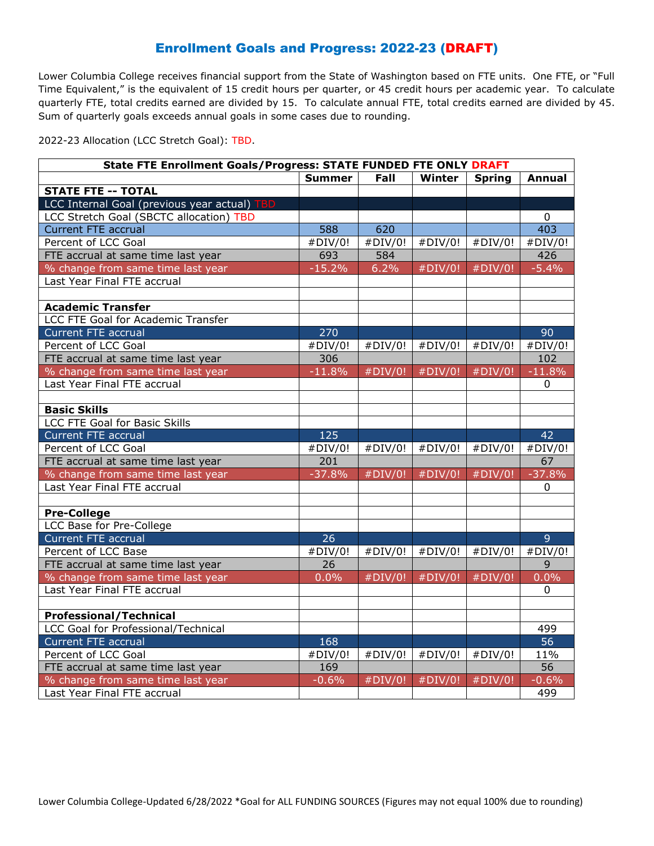## Enrollment Goals and Progress: 2022-23 (DRAFT)

Lower Columbia College receives financial support from the State of Washington based on FTE units. One FTE, or "Full Time Equivalent," is the equivalent of 15 credit hours per quarter, or 45 credit hours per academic year. To calculate quarterly FTE, total credits earned are divided by 15. To calculate annual FTE, total credits earned are divided by 45. Sum of quarterly goals exceeds annual goals in some cases due to rounding.

2022-23 Allocation (LCC Stretch Goal): TBD.

| <b>State FTE Enrollment Goals/Progress: STATE FUNDED FTE ONLY DRAFT</b> |               |         |            |               |                 |  |  |  |
|-------------------------------------------------------------------------|---------------|---------|------------|---------------|-----------------|--|--|--|
|                                                                         | <b>Summer</b> | Fall    | Winter     | <b>Spring</b> | <b>Annual</b>   |  |  |  |
| <b>STATE FTE -- TOTAL</b>                                               |               |         |            |               |                 |  |  |  |
| LCC Internal Goal (previous year actual) TBD                            |               |         |            |               |                 |  |  |  |
| LCC Stretch Goal (SBCTC allocation) TBD                                 |               |         |            |               | 0               |  |  |  |
| <b>Current FTE accrual</b>                                              | 588           | 620     |            |               | 403             |  |  |  |
| Percent of LCC Goal                                                     | #DIV/0!       | #DIV/0! | #DIV/0!    | #DIV/0!       | #DIV/0!         |  |  |  |
| FTE accrual at same time last year                                      | 693           | 584     |            |               | 426             |  |  |  |
| % change from same time last year                                       | $-15.2%$      | 6.2%    | #DIV/0!    | #DIV/0!       | $-5.4%$         |  |  |  |
| Last Year Final FTE accrual                                             |               |         |            |               |                 |  |  |  |
|                                                                         |               |         |            |               |                 |  |  |  |
| <b>Academic Transfer</b>                                                |               |         |            |               |                 |  |  |  |
| LCC FTE Goal for Academic Transfer                                      |               |         |            |               |                 |  |  |  |
| <b>Current FTE accrual</b>                                              | 270           |         |            |               | 90              |  |  |  |
| Percent of LCC Goal                                                     | #DIV/0!       | #DIV/0! | #DIV/0!    | #DIV/0!       | #DIV/0!         |  |  |  |
| FTE accrual at same time last year                                      | 306           |         |            |               | 102             |  |  |  |
| % change from same time last year                                       | $-11.8%$      | #DIV/0! | #DIV/0!    | #DIV/0!       | $-11.8%$        |  |  |  |
| Last Year Final FTE accrual                                             |               |         |            |               | 0               |  |  |  |
|                                                                         |               |         |            |               |                 |  |  |  |
| <b>Basic Skills</b>                                                     |               |         |            |               |                 |  |  |  |
| LCC FTE Goal for Basic Skills                                           |               |         |            |               |                 |  |  |  |
| <b>Current FTE accrual</b>                                              | 125           |         |            |               | 42              |  |  |  |
| Percent of LCC Goal                                                     | #DIV/0!       | #DIV/0! | #DIV/0!    | #DIV/0!       | #DIV/0!         |  |  |  |
| FTE accrual at same time last year                                      | 201           |         |            |               | 67              |  |  |  |
| % change from same time last year                                       | $-37.8%$      | #DIV/0! | #DIV/0!    | #DIV/0!       | $-37.8%$        |  |  |  |
| Last Year Final FTE accrual                                             |               |         |            |               | $\mathbf{0}$    |  |  |  |
|                                                                         |               |         |            |               |                 |  |  |  |
| <b>Pre-College</b>                                                      |               |         |            |               |                 |  |  |  |
| LCC Base for Pre-College                                                |               |         |            |               |                 |  |  |  |
| <b>Current FTE accrual</b>                                              | 26            |         |            |               | 9               |  |  |  |
| Percent of LCC Base                                                     | #DIV/0!       | #DIV/0! | #DIV/0!    | #DIV/0!       | #DIV/0!         |  |  |  |
| FTE accrual at same time last year                                      | 26            |         |            |               | 9               |  |  |  |
| % change from same time last year                                       | 0.0%          | #DIV/0! | $#$ DIV/0! | #DIV/0!       | 0.0%            |  |  |  |
| Last Year Final FTE accrual                                             |               |         |            |               | $\Omega$        |  |  |  |
|                                                                         |               |         |            |               |                 |  |  |  |
| <b>Professional/Technical</b>                                           |               |         |            |               |                 |  |  |  |
| <b>LCC Goal for Professional/Technical</b>                              |               |         |            |               | 499             |  |  |  |
| <b>Current FTE accrual</b>                                              | 168           |         |            |               | 56              |  |  |  |
| Percent of LCC Goal                                                     | #DIV/0!       | #DIV/0! | #DIV/0!    | #DIV/0!       | 11%             |  |  |  |
| FTE accrual at same time last year                                      | 169           |         |            |               | $\overline{56}$ |  |  |  |
| % change from same time last year                                       | $-0.6%$       | #DIV/0! | #DIV/0!    | #DIV/0!       | $-0.6%$         |  |  |  |
| Last Year Final FTE accrual                                             |               |         |            |               | 499             |  |  |  |